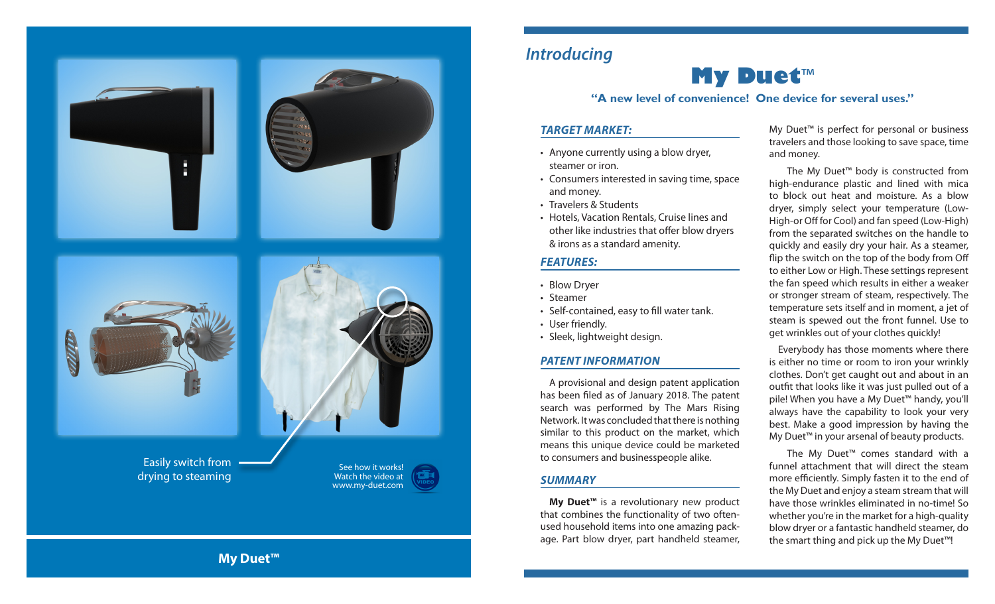

### *Introducing*

# **My Duet** ™

#### **"A new level of convenience! One device for several uses."**

#### *TARGET MARKET:*

- Anyone currently using a blow dryer, steamer or iron.
- Consumers interested in saving time, space and money.
- Travelers & Students
- Hotels, Vacation Rentals, Cruise lines and other like industries that offer blow dryers & irons as a standard amenity.

#### *FEATURES:*

- Blow Dryer
- Steamer
- Self-contained, easy to fill water tank.
- 
- User friendly.<br>• Sleek, lightweight design.

#### *PATENT INFORMATION*

A provisional and design patent application has been filed as of January 2018. The patent search was performed by The Mars Rising Network. It was concluded that there is nothing similar to this product on the market, which means this unique device could be marketed to consumers and businesspeople alike.

#### *SUMMARY*

**My Duet™** is a revolutionary new product that combines the functionality of two oftenused household items into one amazing package. Part blow dryer, part handheld steamer,

My Duet<sup>™</sup> is perfect for personal or business travelers and those looking to save space, time and money.

The My Duet™ body is constructed from high-endurance plastic and lined with mica to block out heat and moisture. As a blow dryer, simply select your temperature (Low-High-or Off for Cool) and fan speed (Low-High) from the separated switches on the handle to quickly and easily dry your hair. As a steamer, flip the switch on the top of the body from Off to either Low or High. These settings represent the fan speed which results in either a weaker or stronger stream of steam, respectively. The temperature sets itself and in moment, a jet of steam is spewed out the front funnel. Use to get wrinkles out of your clothes quickly!

Everybody has those moments where there is either no time or room to iron your wrinkly clothes. Don't get caught out and about in an outfit that looks like it was just pulled out of a pile! When you have a My Duet™ handy, you'll always have the capability to look your very best. Make a good impression by having the My Duet™ in your arsenal of beauty products.

The My Duet™ comes standard with a funnel attachment that will direct the steam more efficiently. Simply fasten it to the end of the My Duet and enjoy a steam stream that will have those wrinkles eliminated in no-time! So whether you're in the market for a high-quality blow dryer or a fantastic handheld steamer, do the smart thing and pick up the My Duet™!

**My Duet™**